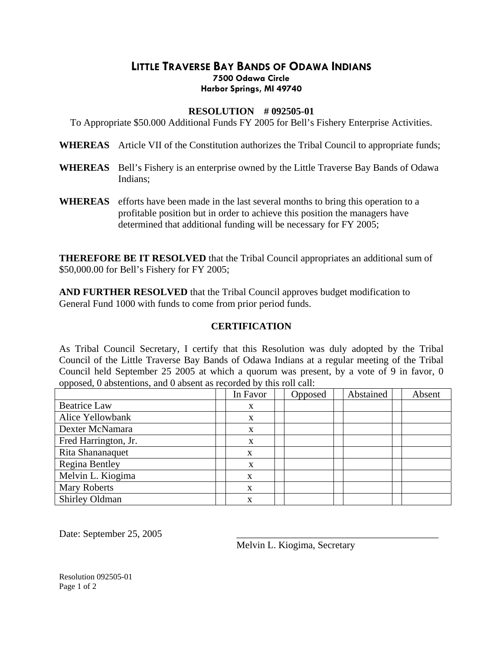## **LITTLE TRAVERSE BAY BANDS OF ODAWA INDIANS 7500 Odawa Circle Harbor Springs, MI 49740**

## **RESOLUTION # 092505-01**

To Appropriate \$50.000 Additional Funds FY 2005 for Bell's Fishery Enterprise Activities.

**WHEREAS** Article VII of the Constitution authorizes the Tribal Council to appropriate funds;

- **WHEREAS** Bell's Fishery is an enterprise owned by the Little Traverse Bay Bands of Odawa Indians;
- **WHEREAS** efforts have been made in the last several months to bring this operation to a profitable position but in order to achieve this position the managers have determined that additional funding will be necessary for FY 2005;

**THEREFORE BE IT RESOLVED** that the Tribal Council appropriates an additional sum of \$50,000.00 for Bell's Fishery for FY 2005;

**AND FURTHER RESOLVED** that the Tribal Council approves budget modification to General Fund 1000 with funds to come from prior period funds.

## **CERTIFICATION**

As Tribal Council Secretary, I certify that this Resolution was duly adopted by the Tribal Council of the Little Traverse Bay Bands of Odawa Indians at a regular meeting of the Tribal Council held September 25 2005 at which a quorum was present, by a vote of 9 in favor, 0 opposed, 0 abstentions, and 0 absent as recorded by this roll call:

|                       | In Favor | Opposed | Abstained | Absent |
|-----------------------|----------|---------|-----------|--------|
| <b>Beatrice Law</b>   | X        |         |           |        |
| Alice Yellowbank      | X        |         |           |        |
| Dexter McNamara       | X        |         |           |        |
| Fred Harrington, Jr.  | X        |         |           |        |
| Rita Shananaquet      | X        |         |           |        |
| <b>Regina Bentley</b> | X        |         |           |        |
| Melvin L. Kiogima     | X        |         |           |        |
| <b>Mary Roberts</b>   | X        |         |           |        |
| Shirley Oldman        | X        |         |           |        |

Date: September 25, 2005

Melvin L. Kiogima, Secretary

Resolution 092505-01 Page 1 of 2